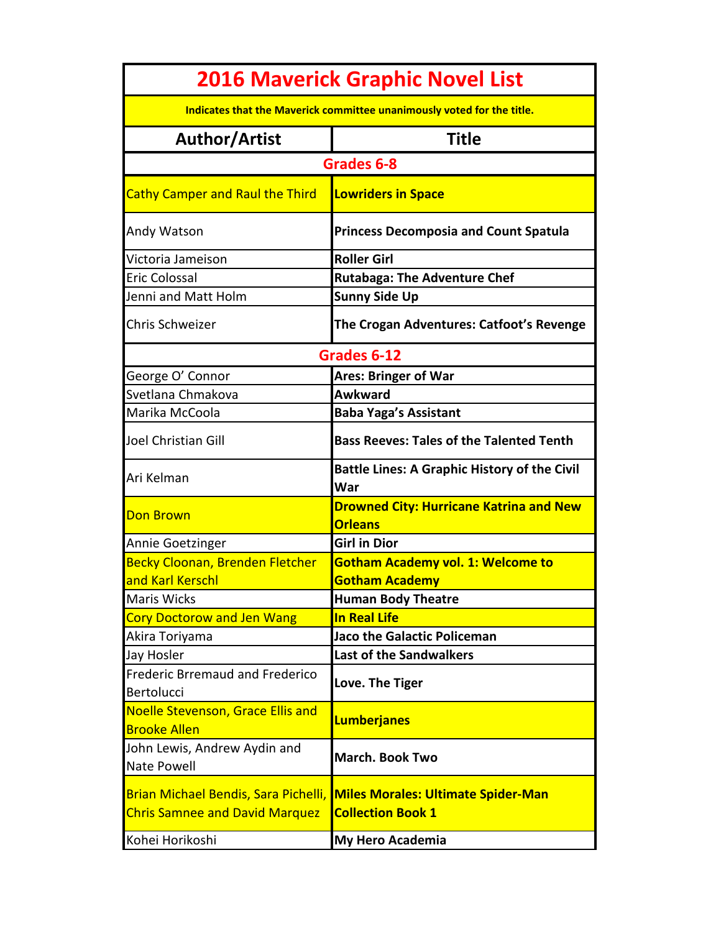| <b>2016 Maverick Graphic Novel List</b>                                       |                                                                       |  |
|-------------------------------------------------------------------------------|-----------------------------------------------------------------------|--|
| Indicates that the Maverick committee unanimously voted for the title.        |                                                                       |  |
| <b>Author/Artist</b>                                                          | <b>Title</b>                                                          |  |
| Grades 6-8                                                                    |                                                                       |  |
| <b>Cathy Camper and Raul the Third</b>                                        | <b>Lowriders in Space</b>                                             |  |
| Andy Watson                                                                   | <b>Princess Decomposia and Count Spatula</b>                          |  |
| Victoria Jameison                                                             | <b>Roller Girl</b>                                                    |  |
| <b>Eric Colossal</b>                                                          | <b>Rutabaga: The Adventure Chef</b>                                   |  |
| Jenni and Matt Holm                                                           | <b>Sunny Side Up</b>                                                  |  |
| <b>Chris Schweizer</b>                                                        | The Crogan Adventures: Catfoot's Revenge                              |  |
| Grades 6-12                                                                   |                                                                       |  |
| George O' Connor                                                              | <b>Ares: Bringer of War</b>                                           |  |
| Svetlana Chmakova                                                             | <b>Awkward</b>                                                        |  |
| Marika McCoola                                                                | <b>Baba Yaga's Assistant</b>                                          |  |
| <b>Joel Christian Gill</b>                                                    | <b>Bass Reeves: Tales of the Talented Tenth</b>                       |  |
| Ari Kelman                                                                    | <b>Battle Lines: A Graphic History of the Civil</b><br>War            |  |
| <b>Don Brown</b>                                                              | <b>Drowned City: Hurricane Katrina and New</b><br><b>Orleans</b>      |  |
| <b>Annie Goetzinger</b>                                                       | <b>Girl in Dior</b>                                                   |  |
| <b>Becky Cloonan, Brenden Fletcher</b>                                        | <b>Gotham Academy vol. 1: Welcome to</b>                              |  |
| and Karl Kerschl                                                              | <b>Gotham Academy</b>                                                 |  |
| <b>Maris Wicks</b>                                                            | <b>Human Body Theatre</b>                                             |  |
| <b>Cory Doctorow and Jen Wang</b>                                             | In Real Life                                                          |  |
| Akira Toriyama                                                                | <b>Jaco the Galactic Policeman</b>                                    |  |
| <b>Jay Hosler</b>                                                             | <b>Last of the Sandwalkers</b>                                        |  |
| <b>Frederic Brremaud and Frederico</b><br>Bertolucci                          | Love. The Tiger                                                       |  |
| <b>Noelle Stevenson, Grace Ellis and</b>                                      |                                                                       |  |
| <b>Brooke Allen</b>                                                           | <b>Lumberjanes</b>                                                    |  |
| John Lewis, Andrew Aydin and<br><b>Nate Powell</b>                            | <b>March. Book Two</b>                                                |  |
| Brian Michael Bendis, Sara Pichelli,<br><b>Chris Samnee and David Marquez</b> | <b>Miles Morales: Ultimate Spider-Man</b><br><b>Collection Book 1</b> |  |
| Kohei Horikoshi                                                               | <b>My Hero Academia</b>                                               |  |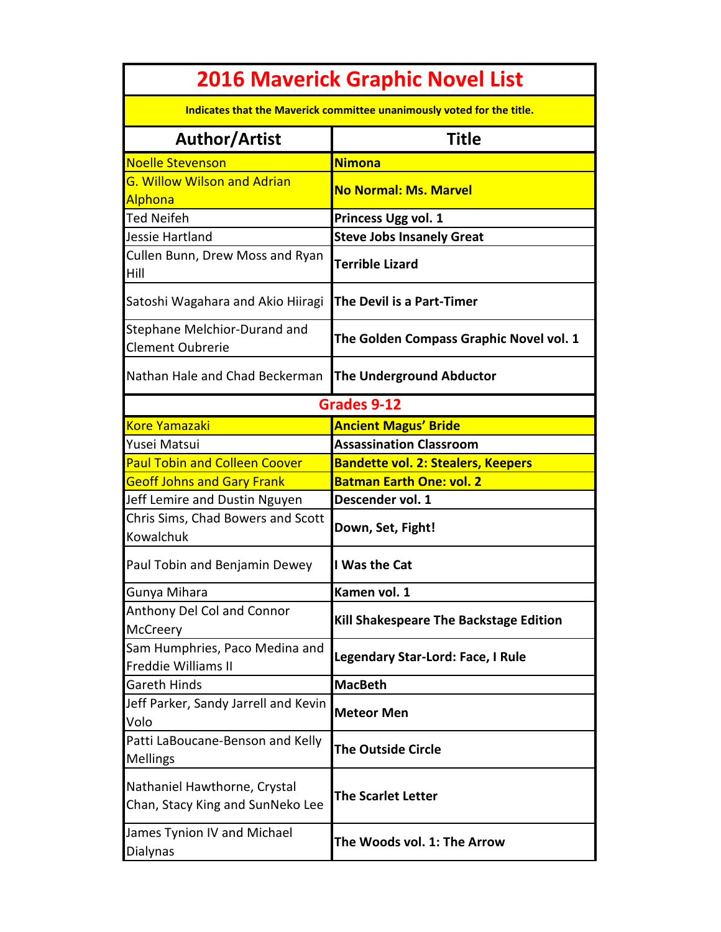| <b>2016 Maverick Graphic Novel List</b>                                |                                           |
|------------------------------------------------------------------------|-------------------------------------------|
| Indicates that the Maverick committee unanimously voted for the title. |                                           |
| <b>Author/Artist</b>                                                   | <b>Title</b>                              |
| <b>Noelle Stevenson</b>                                                | <b>Nimona</b>                             |
| G. Willow Wilson and Adrian<br>Alphona                                 | <b>No Normal: Ms. Marvel</b>              |
| <b>Ted Neifeh</b>                                                      | Princess Ugg vol. 1                       |
| Jessie Hartland                                                        | <b>Steve Jobs Insanely Great</b>          |
| Cullen Bunn, Drew Moss and Ryan<br>Hill                                | <b>Terrible Lizard</b>                    |
| Satoshi Wagahara and Akio Hiiragi                                      | The Devil is a Part-Timer                 |
| Stephane Melchior-Durand and<br><b>Clement Oubrerie</b>                | The Golden Compass Graphic Novel vol. 1   |
| Nathan Hale and Chad Beckerman                                         | <b>The Underground Abductor</b>           |
| Grades 9-12                                                            |                                           |
| <b>Kore Yamazaki</b>                                                   | <b>Ancient Magus' Bride</b>               |
| Yusei Matsui                                                           | <b>Assassination Classroom</b>            |
| <b>Paul Tobin and Colleen Coover</b>                                   | <b>Bandette vol. 2: Stealers, Keepers</b> |
| <b>Geoff Johns and Gary Frank</b>                                      | <b>Batman Earth One: vol. 2</b>           |
| Jeff Lemire and Dustin Nguyen                                          | Descender vol. 1                          |
| Chris Sims, Chad Bowers and Scott<br>Kowalchuk                         | Down, Set, Fight!                         |
| Paul Tobin and Benjamin Dewey                                          | I Was the Cat                             |
| Gunya Mihara                                                           | Kamen vol. 1                              |
| Anthony Del Col and Connor<br>McCreery                                 | Kill Shakespeare The Backstage Edition    |
| Sam Humphries, Paco Medina and<br><b>Freddie Williams II</b>           | Legendary Star-Lord: Face, I Rule         |
| <b>Gareth Hinds</b>                                                    | <b>MacBeth</b>                            |
| Jeff Parker, Sandy Jarrell and Kevin<br>Volo                           | <b>Meteor Men</b>                         |
| Patti LaBoucane-Benson and Kelly<br><b>Mellings</b>                    | <b>The Outside Circle</b>                 |
| Nathaniel Hawthorne, Crystal<br>Chan, Stacy King and SunNeko Lee       | <b>The Scarlet Letter</b>                 |
| James Tynion IV and Michael<br>Dialynas                                | The Woods vol. 1: The Arrow               |